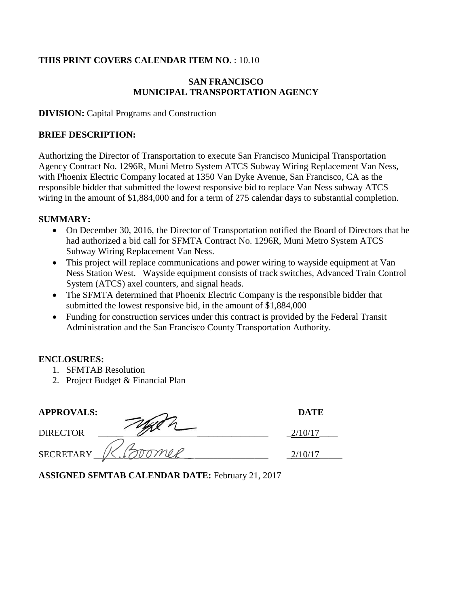### **THIS PRINT COVERS CALENDAR ITEM NO.** : 10.10

#### **SAN FRANCISCO MUNICIPAL TRANSPORTATION AGENCY**

**DIVISION:** Capital Programs and Construction

#### **BRIEF DESCRIPTION:**

Authorizing the Director of Transportation to execute San Francisco Municipal Transportation Agency Contract No. 1296R, Muni Metro System ATCS Subway Wiring Replacement Van Ness, with Phoenix Electric Company located at 1350 Van Dyke Avenue, San Francisco, CA as the responsible bidder that submitted the lowest responsive bid to replace Van Ness subway ATCS wiring in the amount of \$1,884,000 and for a term of 275 calendar days to substantial completion.

#### **SUMMARY:**

- On December 30, 2016, the Director of Transportation notified the Board of Directors that he had authorized a bid call for SFMTA Contract No. 1296R, Muni Metro System ATCS Subway Wiring Replacement Van Ness.
- This project will replace communications and power wiring to wayside equipment at Van Ness Station West. Wayside equipment consists of track switches, Advanced Train Control System (ATCS) axel counters, and signal heads.
- The SFMTA determined that Phoenix Electric Company is the responsible bidder that submitted the lowest responsive bid, in the amount of \$1,884,000
- Funding for construction services under this contract is provided by the Federal Transit Administration and the San Francisco County Transportation Authority.

#### **ENCLOSURES:**

- 1. SFMTAB Resolution
- 2. Project Budget & Financial Plan

| <b>APPROVALS:</b> | <b>DATE</b> |
|-------------------|-------------|
| <b>DIRECTOR</b>   |             |
| <b>SECRETARY</b>  |             |

**ASSIGNED SFMTAB CALENDAR DATE:** February 21, 2017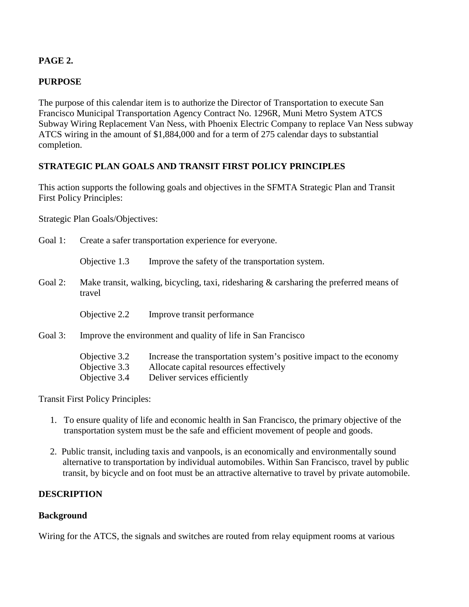## **PAGE 2.**

## **PURPOSE**

The purpose of this calendar item is to authorize the Director of Transportation to execute San Francisco Municipal Transportation Agency Contract No. 1296R, Muni Metro System ATCS Subway Wiring Replacement Van Ness, with Phoenix Electric Company to replace Van Ness subway ATCS wiring in the amount of \$1,884,000 and for a term of 275 calendar days to substantial completion.

## **STRATEGIC PLAN GOALS AND TRANSIT FIRST POLICY PRINCIPLES**

This action supports the following goals and objectives in the SFMTA Strategic Plan and Transit First Policy Principles:

Strategic Plan Goals/Objectives:

| Goal 1: | Create a safer transportation experience for everyone.                                               |                                                                                                                                               |  |
|---------|------------------------------------------------------------------------------------------------------|-----------------------------------------------------------------------------------------------------------------------------------------------|--|
|         | Objective 1.3                                                                                        | Improve the safety of the transportation system.                                                                                              |  |
| Goal 2: | Make transit, walking, bicycling, taxi, ridesharing $\&$ carsharing the preferred means of<br>travel |                                                                                                                                               |  |
|         | Objective 2.2                                                                                        | Improve transit performance                                                                                                                   |  |
| Goal 3: | Improve the environment and quality of life in San Francisco                                         |                                                                                                                                               |  |
|         | Objective 3.2<br>Objective 3.3<br>Objective 3.4                                                      | Increase the transportation system's positive impact to the economy<br>Allocate capital resources effectively<br>Deliver services efficiently |  |

Transit First Policy Principles:

- 1. To ensure quality of life and economic health in San Francisco, the primary objective of the transportation system must be the safe and efficient movement of people and goods.
- 2. Public transit, including taxis and vanpools, is an economically and environmentally sound alternative to transportation by individual automobiles. Within San Francisco, travel by public transit, by bicycle and on foot must be an attractive alternative to travel by private automobile.

### **DESCRIPTION**

### **Background**

Wiring for the ATCS, the signals and switches are routed from relay equipment rooms at various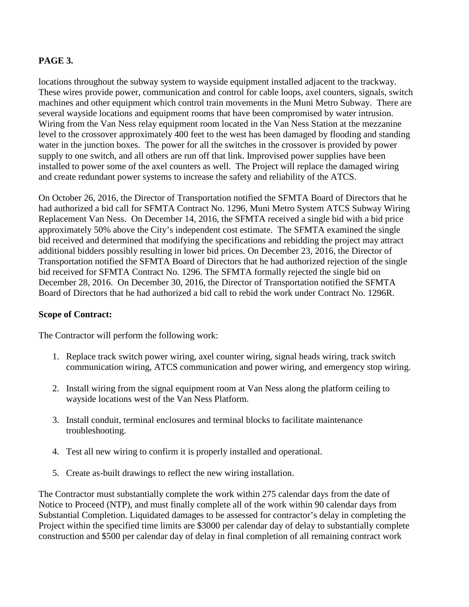#### **PAGE 3.**

locations throughout the subway system to wayside equipment installed adjacent to the trackway. These wires provide power, communication and control for cable loops, axel counters, signals, switch machines and other equipment which control train movements in the Muni Metro Subway. There are several wayside locations and equipment rooms that have been compromised by water intrusion. Wiring from the Van Ness relay equipment room located in the Van Ness Station at the mezzanine level to the crossover approximately 400 feet to the west has been damaged by flooding and standing water in the junction boxes. The power for all the switches in the crossover is provided by power supply to one switch, and all others are run off that link. Improvised power supplies have been installed to power some of the axel counters as well. The Project will replace the damaged wiring and create redundant power systems to increase the safety and reliability of the ATCS.

On October 26, 2016, the Director of Transportation notified the SFMTA Board of Directors that he had authorized a bid call for SFMTA Contract No. 1296, Muni Metro System ATCS Subway Wiring Replacement Van Ness. On December 14, 2016, the SFMTA received a single bid with a bid price approximately 50% above the City's independent cost estimate. The SFMTA examined the single bid received and determined that modifying the specifications and rebidding the project may attract additional bidders possibly resulting in lower bid prices. On December 23, 2016, the Director of Transportation notified the SFMTA Board of Directors that he had authorized rejection of the single bid received for SFMTA Contract No. 1296. The SFMTA formally rejected the single bid on December 28, 2016. On December 30, 2016, the Director of Transportation notified the SFMTA Board of Directors that he had authorized a bid call to rebid the work under Contract No. 1296R.

#### **Scope of Contract:**

The Contractor will perform the following work:

- 1. Replace track switch power wiring, axel counter wiring, signal heads wiring, track switch communication wiring, ATCS communication and power wiring, and emergency stop wiring.
- 2. Install wiring from the signal equipment room at Van Ness along the platform ceiling to wayside locations west of the Van Ness Platform.
- 3. Install conduit, terminal enclosures and terminal blocks to facilitate maintenance troubleshooting.
- 4. Test all new wiring to confirm it is properly installed and operational.
- 5. Create as-built drawings to reflect the new wiring installation.

The Contractor must substantially complete the work within 275 calendar days from the date of Notice to Proceed (NTP), and must finally complete all of the work within 90 calendar days from Substantial Completion. Liquidated damages to be assessed for contractor's delay in completing the Project within the specified time limits are \$3000 per calendar day of delay to substantially complete construction and \$500 per calendar day of delay in final completion of all remaining contract work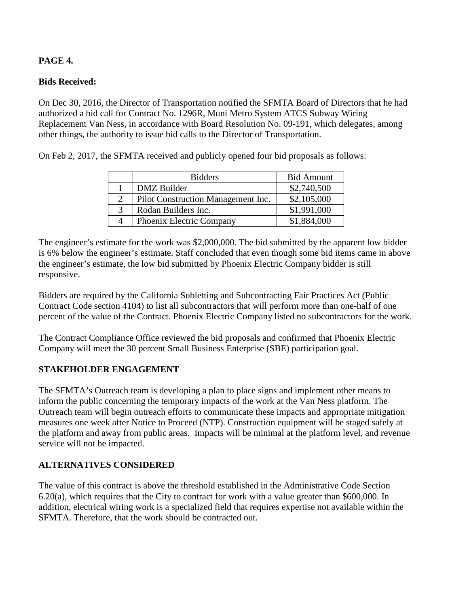## **PAGE 4.**

## **Bids Received:**

On Dec 30, 2016, the Director of Transportation notified the SFMTA Board of Directors that he had authorized a bid call for Contract No. 1296R, Muni Metro System ATCS Subway Wiring Replacement Van Ness, in accordance with Board Resolution No. 09-191, which delegates, among other things, the authority to issue bid calls to the Director of Transportation.

On Feb 2, 2017, the SFMTA received and publicly opened four bid proposals as follows:

| <b>Bidders</b>                     | <b>Bid Amount</b> |
|------------------------------------|-------------------|
| DMZ Builder                        | \$2,740,500       |
| Pilot Construction Management Inc. | \$2,105,000       |
| Rodan Builders Inc.                | \$1,991,000       |
| Phoenix Electric Company           | \$1,884,000       |

The engineer's estimate for the work was \$2,000,000. The bid submitted by the apparent low bidder is 6% below the engineer's estimate. Staff concluded that even though some bid items came in above the engineer's estimate, the low bid submitted by Phoenix Electric Company bidder is still responsive.

Bidders are required by the California Subletting and Subcontracting Fair Practices Act (Public Contract Code section 4104) to list all subcontractors that will perform more than one-half of one percent of the value of the Contract. Phoenix Electric Company listed no subcontractors for the work.

The Contract Compliance Office reviewed the bid proposals and confirmed that Phoenix Electric Company will meet the 30 percent Small Business Enterprise (SBE) participation goal.

### **STAKEHOLDER ENGAGEMENT**

The SFMTA's Outreach team is developing a plan to place signs and implement other means to inform the public concerning the temporary impacts of the work at the Van Ness platform. The Outreach team will begin outreach efforts to communicate these impacts and appropriate mitigation measures one week after Notice to Proceed (NTP). Construction equipment will be staged safely at the platform and away from public areas. Impacts will be minimal at the platform level, and revenue service will not be impacted.

### **ALTERNATIVES CONSIDERED**

The value of this contract is above the threshold established in the Administrative Code Section 6.20(a), which requires that the City to contract for work with a value greater than \$600,000. In addition, electrical wiring work is a specialized field that requires expertise not available within the SFMTA. Therefore, that the work should be contracted out.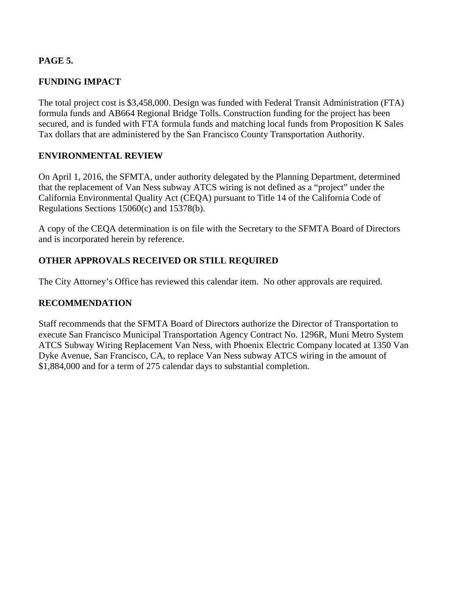### **PAGE 5.**

## **FUNDING IMPACT**

The total project cost is \$3,458,000. Design was funded with Federal Transit Administration (FTA) formula funds and AB664 Regional Bridge Tolls. Construction funding for the project has been secured, and is funded with FTA formula funds and matching local funds from Proposition K Sales Tax dollars that are administered by the San Francisco County Transportation Authority.

#### **ENVIRONMENTAL REVIEW**

On April 1, 2016, the SFMTA, under authority delegated by the Planning Department, determined that the replacement of Van Ness subway ATCS wiring is not defined as a "project" under the California Environmental Quality Act (CEQA) pursuant to Title 14 of the California Code of Regulations Sections 15060(c) and 15378(b).

A copy of the CEQA determination is on file with the Secretary to the SFMTA Board of Directors and is incorporated herein by reference.

### **OTHER APPROVALS RECEIVED OR STILL REQUIRED**

The City Attorney's Office has reviewed this calendar item. No other approvals are required.

#### **RECOMMENDATION**

Staff recommends that the SFMTA Board of Directors authorize the Director of Transportation to execute San Francisco Municipal Transportation Agency Contract No. 1296R, Muni Metro System ATCS Subway Wiring Replacement Van Ness, with Phoenix Electric Company located at 1350 Van Dyke Avenue, San Francisco, CA, to replace Van Ness subway ATCS wiring in the amount of \$1,884,000 and for a term of 275 calendar days to substantial completion.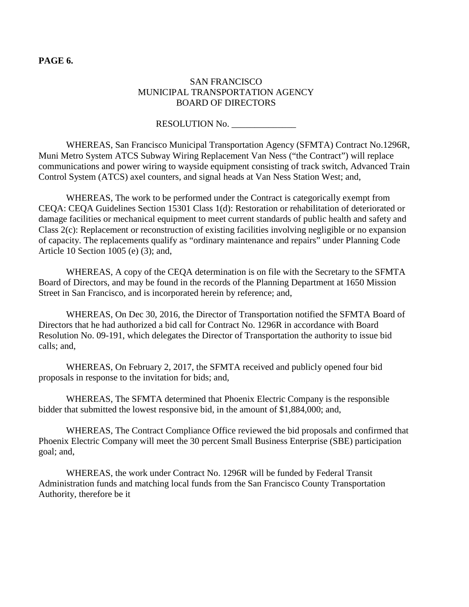#### **PAGE 6.**

### SAN FRANCISCO MUNICIPAL TRANSPORTATION AGENCY BOARD OF DIRECTORS

#### RESOLUTION No.

WHEREAS, San Francisco Municipal Transportation Agency (SFMTA) Contract No.1296R, Muni Metro System ATCS Subway Wiring Replacement Van Ness ("the Contract") will replace communications and power wiring to wayside equipment consisting of track switch, Advanced Train Control System (ATCS) axel counters, and signal heads at Van Ness Station West; and,

WHEREAS, The work to be performed under the Contract is categorically exempt from CEQA: CEQA Guidelines Section 15301 Class 1(d): Restoration or rehabilitation of deteriorated or damage facilities or mechanical equipment to meet current standards of public health and safety and Class 2(c): Replacement or reconstruction of existing facilities involving negligible or no expansion of capacity. The replacements qualify as "ordinary maintenance and repairs" under Planning Code Article 10 Section 1005 (e) (3); and,

WHEREAS, A copy of the CEQA determination is on file with the Secretary to the SFMTA Board of Directors, and may be found in the records of the Planning Department at 1650 Mission Street in San Francisco, and is incorporated herein by reference; and,

WHEREAS, On Dec 30, 2016, the Director of Transportation notified the SFMTA Board of Directors that he had authorized a bid call for Contract No. 1296R in accordance with Board Resolution No. 09-191, which delegates the Director of Transportation the authority to issue bid calls; and,

WHEREAS, On February 2, 2017, the SFMTA received and publicly opened four bid proposals in response to the invitation for bids; and,

WHEREAS, The SFMTA determined that Phoenix Electric Company is the responsible bidder that submitted the lowest responsive bid, in the amount of \$1,884,000; and,

WHEREAS, The Contract Compliance Office reviewed the bid proposals and confirmed that Phoenix Electric Company will meet the 30 percent Small Business Enterprise (SBE) participation goal; and,

WHEREAS, the work under Contract No. 1296R will be funded by Federal Transit Administration funds and matching local funds from the San Francisco County Transportation Authority, therefore be it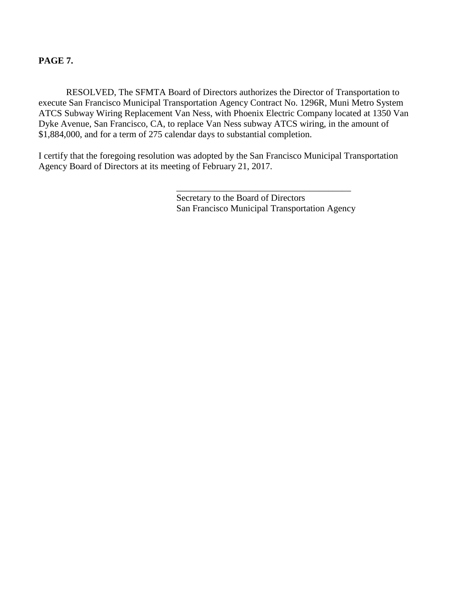#### **PAGE 7.**

RESOLVED, The SFMTA Board of Directors authorizes the Director of Transportation to execute San Francisco Municipal Transportation Agency Contract No. 1296R, Muni Metro System ATCS Subway Wiring Replacement Van Ness, with Phoenix Electric Company located at 1350 Van Dyke Avenue, San Francisco, CA, to replace Van Ness subway ATCS wiring, in the amount of \$1,884,000, and for a term of 275 calendar days to substantial completion.

I certify that the foregoing resolution was adopted by the San Francisco Municipal Transportation Agency Board of Directors at its meeting of February 21, 2017.

> Secretary to the Board of Directors San Francisco Municipal Transportation Agency

\_\_\_\_\_\_\_\_\_\_\_\_\_\_\_\_\_\_\_\_\_\_\_\_\_\_\_\_\_\_\_\_\_\_\_\_\_\_